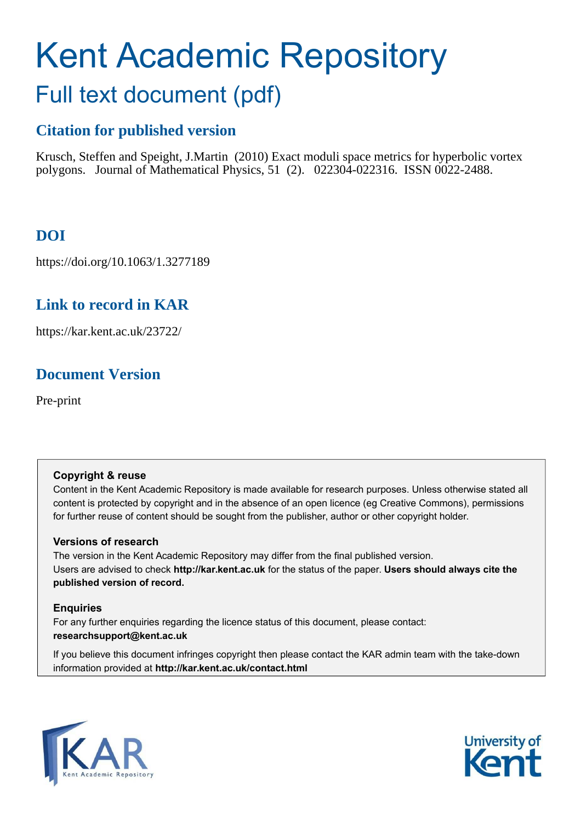# Kent Academic Repository Full text document (pdf)

# **Citation for published version**

Krusch, Steffen and Speight, J.Martin (2010) Exact moduli space metrics for hyperbolic vortex polygons. Journal of Mathematical Physics, 51 (2). 022304-022316. ISSN 0022-2488.

# **DOI**

https://doi.org/10.1063/1.3277189

# **Link to record in KAR**

https://kar.kent.ac.uk/23722/

# **Document Version**

Pre-print

### **Copyright & reuse**

Content in the Kent Academic Repository is made available for research purposes. Unless otherwise stated all content is protected by copyright and in the absence of an open licence (eg Creative Commons), permissions for further reuse of content should be sought from the publisher, author or other copyright holder.

### **Versions of research**

The version in the Kent Academic Repository may differ from the final published version. Users are advised to check **http://kar.kent.ac.uk** for the status of the paper. **Users should always cite the published version of record.**

### **Enquiries**

For any further enquiries regarding the licence status of this document, please contact: **researchsupport@kent.ac.uk**

If you believe this document infringes copyright then please contact the KAR admin team with the take-down information provided at **http://kar.kent.ac.uk/contact.html**



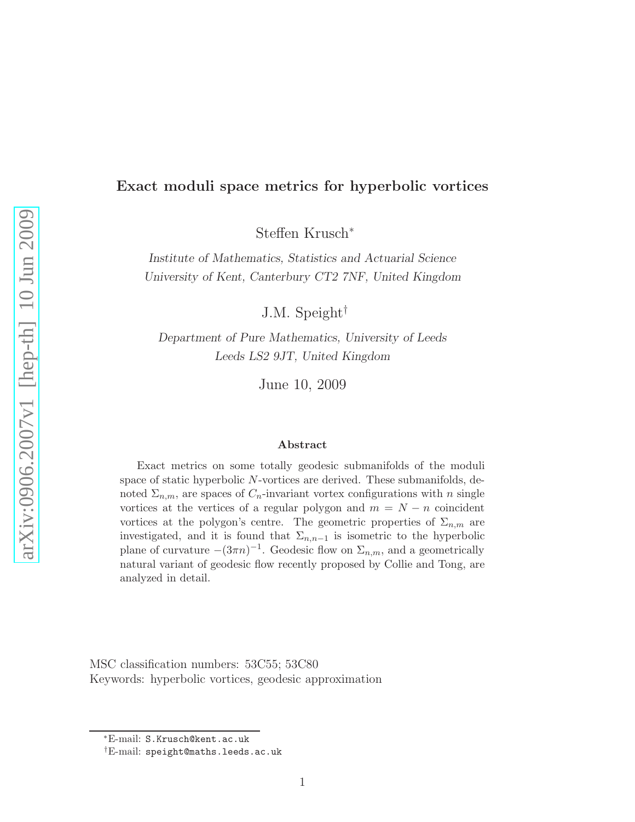### Exact moduli space metrics for hyperbolic vortices

Steffen Krusch<sup>∗</sup>

Institute of Mathematics, Statistics and Actuarial Science University of Kent, Canterbury CT2 7NF, United Kingdom

J.M. Speight†

Department of Pure Mathematics, University of Leeds Leeds LS2 9JT, United Kingdom

June 10, 2009

#### Abstract

Exact metrics on some totally geodesic submanifolds of the moduli space of static hyperbolic N-vortices are derived. These submanifolds, denoted  $\Sigma_{n,m}$ , are spaces of  $C_n$ -invariant vortex configurations with n single vortices at the vertices of a regular polygon and  $m = N - n$  coincident vortices at the polygon's centre. The geometric properties of  $\Sigma_{n,m}$  are investigated, and it is found that  $\Sigma_{n,n-1}$  is isometric to the hyperbolic plane of curvature  $-(3\pi n)^{-1}$ . Geodesic flow on  $\Sigma_{n,m}$ , and a geometrically natural variant of geodesic flow recently proposed by Collie and Tong, are analyzed in detail.

MSC classification numbers: 53C55; 53C80 Keywords: hyperbolic vortices, geodesic approximation

<sup>∗</sup>E-mail: S.Krusch@kent.ac.uk

<sup>†</sup>E-mail: speight@maths.leeds.ac.uk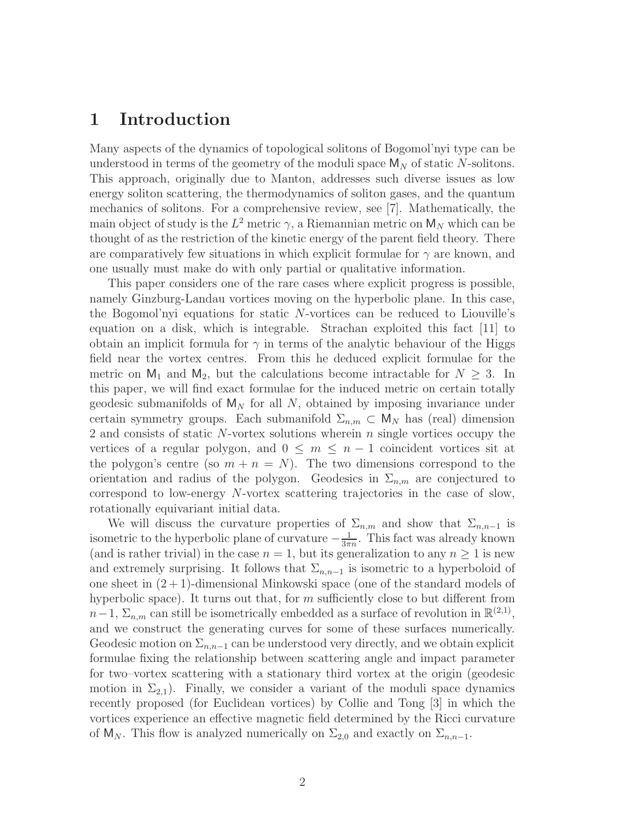### 1 Introduction

Many aspects of the dynamics of topological solitons of Bogomol'nyi type can be understood in terms of the geometry of the moduli space  $M_N$  of static N-solitons. This approach, originally due to Manton, addresses such diverse issues as low energy soliton scattering, the thermodynamics of soliton gases, and the quantum mechanics of solitons. For a comprehensive review, see [7]. Mathematically, the main object of study is the  $L^2$  metric  $\gamma$ , a Riemannian metric on  $M_N$  which can be thought of as the restriction of the kinetic energy of the parent field theory. There are comparatively few situations in which explicit formulae for  $\gamma$  are known, and one usually must make do with only partial or qualitative information.

This paper considers one of the rare cases where explicit progress is possible, namely Ginzburg-Landau vortices moving on the hyperbolic plane. In this case, the Bogomol'nyi equations for static N-vortices can be reduced to Liouville's equation on a disk, which is integrable. Strachan exploited this fact  $|11|$  to obtain an implicit formula for  $\gamma$  in terms of the analytic behaviour of the Higgs field near the vortex centres. From this he deduced explicit formulae for the metric on  $M_1$  and  $M_2$ , but the calculations become intractable for  $N \geq 3$ . In this paper, we will find exact formulae for the induced metric on certain totally geodesic submanifolds of  $M_N$  for all N, obtained by imposing invariance under certain symmetry groups. Each submanifold  $\Sigma_{n,m} \subset M_N$  has (real) dimension 2 and consists of static N-vortex solutions wherein  $n$  single vortices occupy the vertices of a regular polygon, and  $0 \leq m \leq n-1$  coincident vortices sit at the polygon's centre (so  $m + n = N$ ). The two dimensions correspond to the orientation and radius of the polygon. Geodesics in  $\Sigma_{n,m}$  are conjectured to correspond to low-energy N-vortex scattering trajectories in the case of slow, rotationally equivariant initial data.

We will discuss the curvature properties of  $\Sigma_{n,m}$  and show that  $\Sigma_{n,n-1}$  is isometric to the hyperbolic plane of curvature  $-\frac{1}{3\pi}$  $\frac{1}{3\pi n}$ . This fact was already known (and is rather trivial) in the case  $n = 1$ , but its generalization to any  $n \geq 1$  is new and extremely surprising. It follows that  $\Sigma_{n,n-1}$  is isometric to a hyperboloid of one sheet in  $(2+1)$ -dimensional Minkowski space (one of the standard models of hyperbolic space). It turns out that, for  $m$  sufficiently close to but different from  $n-1$ ,  $\Sigma_{n,m}$  can still be isometrically embedded as a surface of revolution in  $\mathbb{R}^{(2,1)}$ , and we construct the generating curves for some of these surfaces numerically. Geodesic motion on  $\Sigma_{n,n-1}$  can be understood very directly, and we obtain explicit formulae fixing the relationship between scattering angle and impact parameter for two–vortex scattering with a stationary third vortex at the origin (geodesic motion in  $\Sigma_{2,1}$ ). Finally, we consider a variant of the moduli space dynamics recently proposed (for Euclidean vortices) by Collie and Tong [3] in which the vortices experience an effective magnetic field determined by the Ricci curvature of  $M_N$ . This flow is analyzed numerically on  $\Sigma_{2,0}$  and exactly on  $\Sigma_{n,n-1}$ .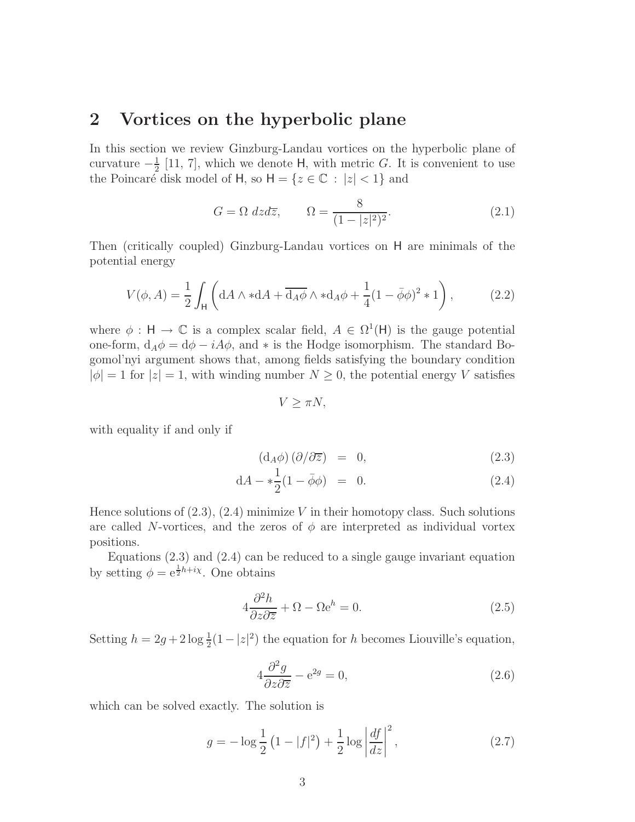### 2 Vortices on the hyperbolic plane

In this section we review Ginzburg-Landau vortices on the hyperbolic plane of curvature  $-\frac{1}{2}$  $\frac{1}{2}$  [11, 7], which we denote H, with metric G. It is convenient to use the Poincaré disk model of H, so  $H = \{z \in \mathbb{C} : |z| < 1\}$  and

$$
G = \Omega \, dz \, d\overline{z}, \qquad \Omega = \frac{8}{(1 - |z|^2)^2}.
$$
\n
$$
(2.1)
$$

Then (critically coupled) Ginzburg-Landau vortices on H are minimals of the potential energy

$$
V(\phi, A) = \frac{1}{2} \int_{\mathsf{H}} \left( dA \wedge *dA + \overline{d_A \phi} \wedge *d_A \phi + \frac{1}{4} (1 - \overline{\phi} \phi)^2 * 1 \right), \tag{2.2}
$$

where  $\phi : H \to \mathbb{C}$  is a complex scalar field,  $A \in \Omega^1(H)$  is the gauge potential one-form,  $d_A \phi = d\phi - iA\phi$ , and  $*$  is the Hodge isomorphism. The standard Bogomol'nyi argument shows that, among fields satisfying the boundary condition  $|\phi| = 1$  for  $|z| = 1$ , with winding number  $N \geq 0$ , the potential energy V satisfies

 $V > \pi N$ ,

with equality if and only if

$$
\left(\mathrm{d}_A \phi\right) \left(\partial/\partial \overline{z}\right) = 0, \tag{2.3}
$$

$$
dA - * \frac{1}{2}(1 - \bar{\phi}\phi) = 0.
$$
 (2.4)

Hence solutions of  $(2.3)$ ,  $(2.4)$  minimize V in their homotopy class. Such solutions are called N-vortices, and the zeros of  $\phi$  are interpreted as individual vortex positions.

Equations (2.3) and (2.4) can be reduced to a single gauge invariant equation by setting  $\phi = e^{\frac{1}{2}h + i\chi}$ . One obtains

$$
4\frac{\partial^2 h}{\partial z \partial \overline{z}} + \Omega - \Omega e^h = 0.
$$
 (2.5)

Setting  $h = 2g + 2 \log \frac{1}{2}(1 - |z|^2)$  the equation for h becomes Liouville's equation,

$$
4\frac{\partial^2 g}{\partial z \partial \overline{z}} - e^{2g} = 0, \tag{2.6}
$$

which can be solved exactly. The solution is

$$
g = -\log\frac{1}{2}\left(1 - |f|^2\right) + \frac{1}{2}\log\left|\frac{df}{dz}\right|^2,\tag{2.7}
$$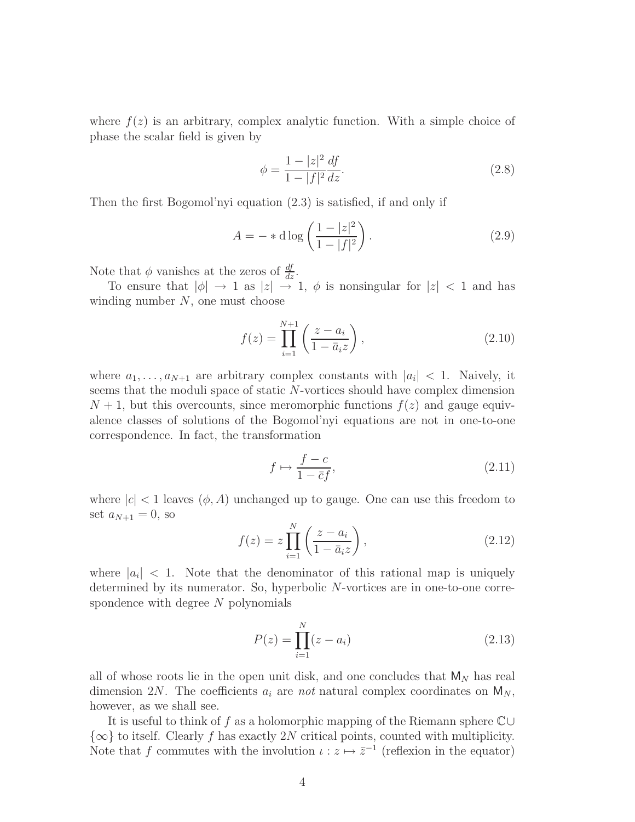where  $f(z)$  is an arbitrary, complex analytic function. With a simple choice of phase the scalar field is given by

$$
\phi = \frac{1 - |z|^2}{1 - |f|^2} \frac{df}{dz}.\tag{2.8}
$$

Then the first Bogomol'nyi equation (2.3) is satisfied, if and only if

$$
A = - * d \log \left( \frac{1 - |z|^2}{1 - |f|^2} \right).
$$
 (2.9)

Note that  $\phi$  vanishes at the zeros of  $\frac{df}{dz}$ .

To ensure that  $|\phi| \to 1$  as  $|z| \to 1$ ,  $\phi$  is nonsingular for  $|z| < 1$  and has winding number  $N$ , one must choose

$$
f(z) = \prod_{i=1}^{N+1} \left( \frac{z - a_i}{1 - \bar{a}_i z} \right),
$$
 (2.10)

where  $a_1, \ldots, a_{N+1}$  are arbitrary complex constants with  $|a_i| < 1$ . Naively, it seems that the moduli space of static N-vortices should have complex dimension  $N + 1$ , but this overcounts, since meromorphic functions  $f(z)$  and gauge equivalence classes of solutions of the Bogomol'nyi equations are not in one-to-one correspondence. In fact, the transformation

$$
f \mapsto \frac{f - c}{1 - \bar{c}f},\tag{2.11}
$$

where  $|c| < 1$  leaves  $(\phi, A)$  unchanged up to gauge. One can use this freedom to set  $a_{N+1} = 0$ , so

$$
f(z) = z \prod_{i=1}^{N} \left( \frac{z - a_i}{1 - \bar{a}_i z} \right),
$$
\n(2.12)

where  $|a_i| < 1$ . Note that the denominator of this rational map is uniquely determined by its numerator. So, hyperbolic N-vortices are in one-to-one correspondence with degree N polynomials

$$
P(z) = \prod_{i=1}^{N} (z - a_i)
$$
 (2.13)

all of whose roots lie in the open unit disk, and one concludes that  $M_N$  has real dimension 2N. The coefficients  $a_i$  are not natural complex coordinates on  $M_N$ , however, as we shall see.

It is useful to think of f as a holomorphic mapping of the Riemann sphere  $\mathbb{C} \cup$  $\{\infty\}$  to itself. Clearly f has exactly 2N critical points, counted with multiplicity. Note that f commutes with the involution  $\iota : z \mapsto \overline{z}^{-1}$  (reflexion in the equator)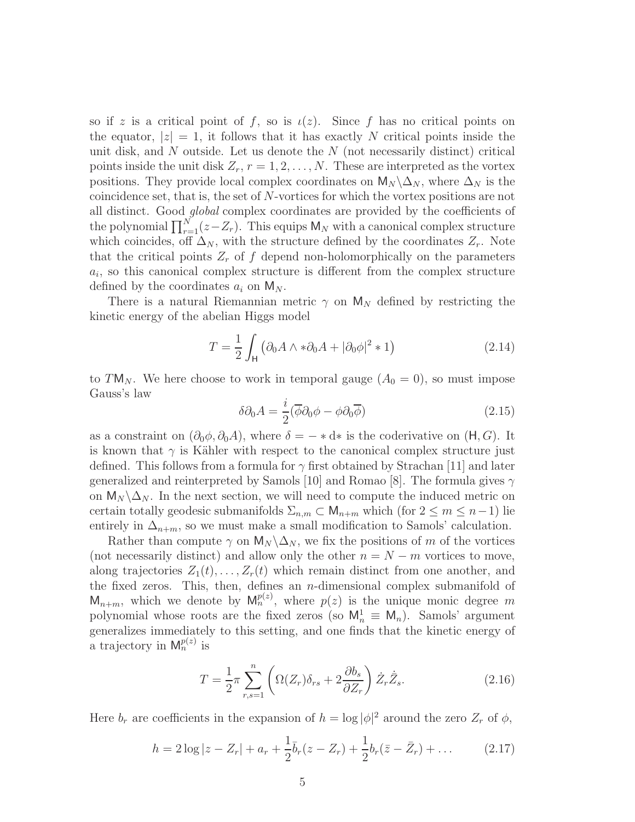so if z is a critical point of f, so is  $\iota(z)$ . Since f has no critical points on the equator,  $|z|=1$ , it follows that it has exactly N critical points inside the unit disk, and  $N$  outside. Let us denote the  $N$  (not necessarily distinct) critical points inside the unit disk  $Z_r$ ,  $r = 1, 2, \ldots, N$ . These are interpreted as the vortex positions. They provide local complex coordinates on  $M_N \backslash \Delta_N$ , where  $\Delta_N$  is the coincidence set, that is, the set of N-vortices for which the vortex positions are not all distinct. Good global complex coordinates are provided by the coefficients of the polynomial  $\prod_{r=1}^{N} (z - Z_r)$ . This equips  $M_N$  with a canonical complex structure which coincides, off  $\Delta_N$ , with the structure defined by the coordinates  $Z_r$ . Note that the critical points  $Z_r$  of f depend non-holomorphically on the parameters  $a_i$ , so this canonical complex structure is different from the complex structure defined by the coordinates  $a_i$  on  $M_N$ .

There is a natural Riemannian metric  $\gamma$  on  $M_N$  defined by restricting the kinetic energy of the abelian Higgs model

$$
T = \frac{1}{2} \int_{\mathsf{H}} \left( \partial_0 A \wedge * \partial_0 A + |\partial_0 \phi|^2 * 1 \right) \tag{2.14}
$$

to TM<sub>N</sub>. We here choose to work in temporal gauge  $(A_0 = 0)$ , so must impose Gauss's law

$$
\delta \partial_0 A = \frac{i}{2} (\overline{\phi} \partial_0 \phi - \phi \partial_0 \overline{\phi}) \tag{2.15}
$$

as a constraint on  $(\partial_0 \phi, \partial_0 A)$ , where  $\delta = - \ast d \ast$  is the coderivative on  $(H, G)$ . It is known that  $\gamma$  is Kähler with respect to the canonical complex structure just defined. This follows from a formula for  $\gamma$  first obtained by Strachan [11] and later generalized and reinterpreted by Samols [10] and Romao [8]. The formula gives  $\gamma$ on  $M_N \backslash \Delta_N$ . In the next section, we will need to compute the induced metric on certain totally geodesic submanifolds  $\Sigma_{n,m} \subset \mathsf{M}_{n+m}$  which (for  $2 \leq m \leq n-1$ ) lie entirely in  $\Delta_{n+m}$ , so we must make a small modification to Samols' calculation.

Rather than compute  $\gamma$  on  $\mathsf{M}_{N} \backslash \Delta_{N}$ , we fix the positions of m of the vortices (not necessarily distinct) and allow only the other  $n = N - m$  vortices to move, along trajectories  $Z_1(t), \ldots, Z_r(t)$  which remain distinct from one another, and the fixed zeros. This, then, defines an  $n$ -dimensional complex submanifold of  $\mathsf{M}_{n+m}$ , which we denote by  $\mathsf{M}_{n}^{p(z)}$ , where  $p(z)$  is the unique monic degree m polynomial whose roots are the fixed zeros (so  $M_n^1 \equiv M_n$ ). Samols' argument generalizes immediately to this setting, and one finds that the kinetic energy of a trajectory in  $\mathsf{M}_n^{p(z)}$  is

$$
T = \frac{1}{2}\pi \sum_{r,s=1}^{n} \left( \Omega(Z_r)\delta_{rs} + 2\frac{\partial b_s}{\partial Z_r} \right) \dot{Z}_r \dot{\bar{Z}}_s.
$$
 (2.16)

Here  $b_r$  are coefficients in the expansion of  $h = \log |\phi|^2$  around the zero  $Z_r$  of  $\phi$ ,

$$
h = 2\log|z - Z_r| + a_r + \frac{1}{2}\bar{b}_r(z - Z_r) + \frac{1}{2}b_r(\bar{z} - \bar{Z}_r) + \dots
$$
 (2.17)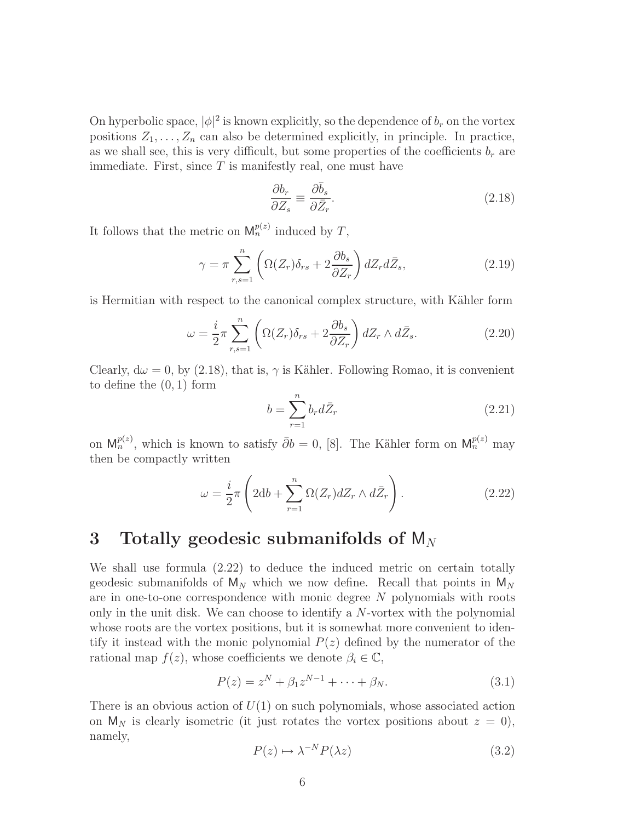On hyperbolic space,  $|\phi|^2$  is known explicitly, so the dependence of  $b_r$  on the vortex positions  $Z_1, \ldots, Z_n$  can also be determined explicitly, in principle. In practice, as we shall see, this is very difficult, but some properties of the coefficients  $b_r$  are immediate. First, since  $T$  is manifestly real, one must have

$$
\frac{\partial b_r}{\partial Z_s} \equiv \frac{\partial \bar{b}_s}{\partial \bar{Z}_r}.\tag{2.18}
$$

It follows that the metric on  $\mathsf{M}_n^{p(z)}$  induced by T,

$$
\gamma = \pi \sum_{r,s=1}^{n} \left( \Omega(Z_r) \delta_{rs} + 2 \frac{\partial b_s}{\partial Z_r} \right) dZ_r d\bar{Z}_s, \tag{2.19}
$$

is Hermitian with respect to the canonical complex structure, with Kähler form

$$
\omega = \frac{i}{2} \pi \sum_{r,s=1}^{n} \left( \Omega(Z_r) \delta_{rs} + 2 \frac{\partial b_s}{\partial Z_r} \right) dZ_r \wedge d\bar{Z}_s.
$$
 (2.20)

Clearly,  $d\omega = 0$ , by (2.18), that is,  $\gamma$  is Kähler. Following Romao, it is convenient to define the (0, 1) form

$$
b = \sum_{r=1}^{n} b_r d\bar{Z}_r \tag{2.21}
$$

on  $M_n^{p(z)}$ , which is known to satisfy  $\bar{\partial}b = 0$ , [8]. The Kähler form on  $M_n^{p(z)}$  may then be compactly written

$$
\omega = \frac{i}{2}\pi \left(2\mathrm{d}b + \sum_{r=1}^{n} \Omega(Z_r) dZ_r \wedge d\bar{Z}_r\right). \tag{2.22}
$$

### 3 Totally geodesic submanifolds of  $M_N$

We shall use formula (2.22) to deduce the induced metric on certain totally geodesic submanifolds of  $M_N$  which we now define. Recall that points in  $M_N$ are in one-to-one correspondence with monic degree N polynomials with roots only in the unit disk. We can choose to identify a  $N$ -vortex with the polynomial whose roots are the vortex positions, but it is somewhat more convenient to identify it instead with the monic polynomial  $P(z)$  defined by the numerator of the rational map  $f(z)$ , whose coefficients we denote  $\beta_i \in \mathbb{C}$ ,

$$
P(z) = zN + \beta_1 zN-1 + \dots + \beta_N.
$$
 (3.1)

There is an obvious action of  $U(1)$  on such polynomials, whose associated action on  $M_N$  is clearly isometric (it just rotates the vortex positions about  $z = 0$ ), namely,

$$
P(z) \mapsto \lambda^{-N} P(\lambda z) \tag{3.2}
$$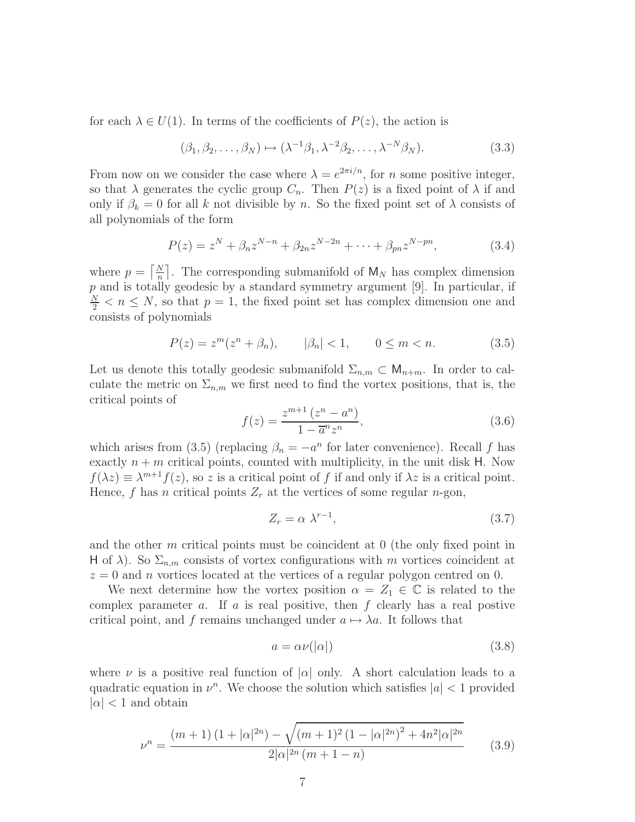for each  $\lambda \in U(1)$ . In terms of the coefficients of  $P(z)$ , the action is

$$
(\beta_1, \beta_2, \dots, \beta_N) \mapsto (\lambda^{-1}\beta_1, \lambda^{-2}\beta_2, \dots, \lambda^{-N}\beta_N). \tag{3.3}
$$

From now on we consider the case where  $\lambda = e^{2\pi i/n}$ , for *n* some positive integer, so that  $\lambda$  generates the cyclic group  $C_n$ . Then  $P(z)$  is a fixed point of  $\lambda$  if and only if  $\beta_k = 0$  for all k not divisible by n. So the fixed point set of  $\lambda$  consists of all polynomials of the form

$$
P(z) = zN + \beta_n zN-n + \beta_{2n} zN-2n + \dots + \beta_{pn} zN-pn,
$$
 (3.4)

where  $p = \left\lceil \frac{N}{n} \right\rceil$  $\frac{N}{n}$ . The corresponding submanifold of  $M_N$  has complex dimension  $p$  and is totally geodesic by a standard symmetry argument [9]. In particular, if  $\frac{N}{2}$  <  $n \leq N$ , so that  $p = 1$ , the fixed point set has complex dimension one and consists of polynomials

$$
P(z) = zm(zn + \betan), \qquad |\betan| < 1, \qquad 0 \le m < n. \tag{3.5}
$$

Let us denote this totally geodesic submanifold  $\Sigma_{n,m} \subset M_{n+m}$ . In order to calculate the metric on  $\Sigma_{n,m}$  we first need to find the vortex positions, that is, the critical points of

$$
f(z) = \frac{z^{m+1} (z^n - a^n)}{1 - \overline{a}^n z^n},
$$
\n(3.6)

which arises from (3.5) (replacing  $\beta_n = -a^n$  for later convenience). Recall f has exactly  $n + m$  critical points, counted with multiplicity, in the unit disk H. Now  $f(\lambda z) \equiv \lambda^{m+1} f(z)$ , so z is a critical point of f if and only if  $\lambda z$  is a critical point. Hence, f has n critical points  $Z_r$  at the vertices of some regular n-gon,

$$
Z_r = \alpha \lambda^{r-1},\tag{3.7}
$$

and the other m critical points must be coincident at 0 (the only fixed point in H of  $\lambda$ ). So  $\Sigma_{n,m}$  consists of vortex configurations with m vortices coincident at  $z = 0$  and n vortices located at the vertices of a regular polygon centred on 0.

We next determine how the vortex position  $\alpha = Z_1 \in \mathbb{C}$  is related to the complex parameter a. If a is real positive, then  $f$  clearly has a real postive critical point, and f remains unchanged under  $a \mapsto \lambda a$ . It follows that

$$
a = \alpha \nu(|\alpha|) \tag{3.8}
$$

where  $\nu$  is a positive real function of  $|\alpha|$  only. A short calculation leads to a quadratic equation in  $\nu^n$ . We choose the solution which satisfies  $|a| < 1$  provided  $|\alpha|$  < 1 and obtain

$$
\nu^{n} = \frac{(m+1)\left(1+|\alpha|^{2n}\right) - \sqrt{(m+1)^{2}\left(1-|\alpha|^{2n}\right)^{2} + 4n^{2}|\alpha|^{2n}}}{2|\alpha|^{2n}\left(m+1-n\right)}\tag{3.9}
$$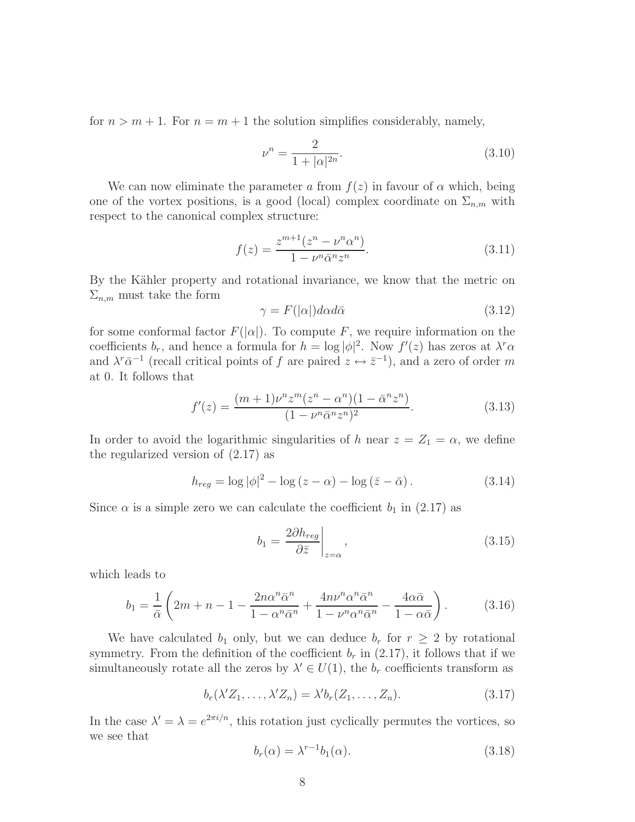for  $n > m + 1$ . For  $n = m + 1$  the solution simplifies considerably, namely,

$$
\nu^n = \frac{2}{1 + |\alpha|^{2n}}.\tag{3.10}
$$

We can now eliminate the parameter a from  $f(z)$  in favour of  $\alpha$  which, being one of the vortex positions, is a good (local) complex coordinate on  $\Sigma_{n,m}$  with respect to the canonical complex structure:

$$
f(z) = \frac{z^{m+1}(z^n - \nu^n \alpha^n)}{1 - \nu^n \bar{\alpha}^n z^n}.
$$
\n(3.11)

By the Kähler property and rotational invariance, we know that the metric on  $\Sigma_{n,m}$  must take the form

$$
\gamma = F(|\alpha|)d\alpha d\bar{\alpha} \tag{3.12}
$$

for some conformal factor  $F(|\alpha|)$ . To compute F, we require information on the coefficients  $b_r$ , and hence a formula for  $h = \log |\phi|^2$ . Now  $f'(z)$  has zeros at  $\lambda^r \alpha$ and  $\lambda^r \bar{\alpha}^{-1}$  (recall critical points of f are paired  $z \leftrightarrow \bar{z}^{-1}$ ), and a zero of order m at 0. It follows that

$$
f'(z) = \frac{(m+1)\nu^n z^m (z^n - \alpha^n)(1 - \bar{\alpha}^n z^n)}{(1 - \nu^n \bar{\alpha}^n z^n)^2}.
$$
\n(3.13)

In order to avoid the logarithmic singularities of h near  $z = Z_1 = \alpha$ , we define the regularized version of (2.17) as

$$
h_{reg} = \log |\phi|^2 - \log (z - \alpha) - \log (\bar{z} - \bar{\alpha}). \tag{3.14}
$$

Since  $\alpha$  is a simple zero we can calculate the coefficient  $b_1$  in (2.17) as

$$
b_1 = \frac{2\partial h_{reg}}{\partial \bar{z}}\bigg|_{z=\alpha},\tag{3.15}
$$

which leads to

$$
b_1 = \frac{1}{\bar{\alpha}} \left( 2m + n - 1 - \frac{2n\alpha^n \bar{\alpha}^n}{1 - \alpha^n \bar{\alpha}^n} + \frac{4n\nu^n \alpha^n \bar{\alpha}^n}{1 - \nu^n \alpha^n \bar{\alpha}^n} - \frac{4\alpha \bar{\alpha}}{1 - \alpha \bar{\alpha}} \right). \tag{3.16}
$$

We have calculated  $b_1$  only, but we can deduce  $b_r$  for  $r \geq 2$  by rotational symmetry. From the definition of the coefficient  $b_r$  in (2.17), it follows that if we simultaneously rotate all the zeros by  $\lambda' \in U(1)$ , the  $b_r$  coefficients transform as

$$
b_r(\lambda' Z_1, \dots, \lambda' Z_n) = \lambda' b_r(Z_1, \dots, Z_n).
$$
 (3.17)

In the case  $\lambda' = \lambda = e^{2\pi i/n}$ , this rotation just cyclically permutes the vortices, so we see that

$$
b_r(\alpha) = \lambda^{r-1} b_1(\alpha). \tag{3.18}
$$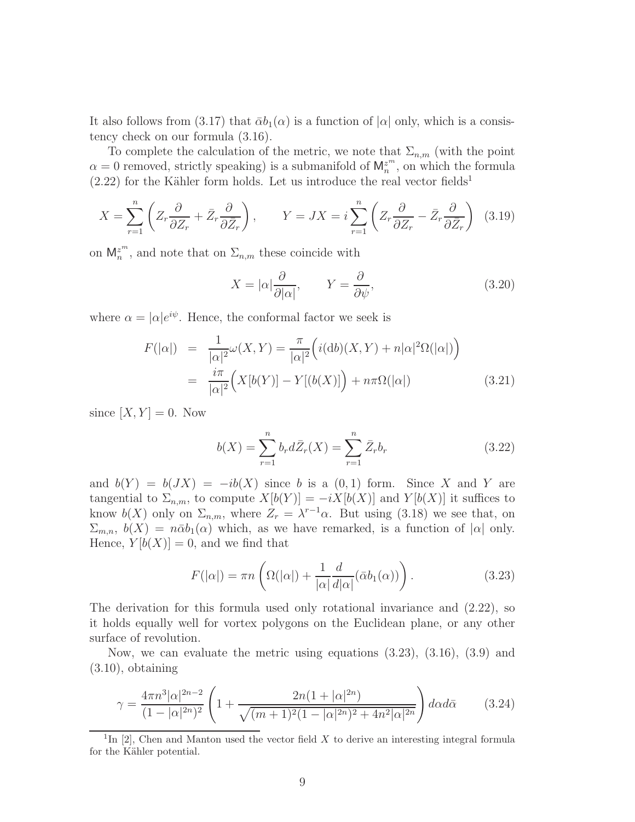It also follows from (3.17) that  $\bar{\alpha}b_1(\alpha)$  is a function of  $|\alpha|$  only, which is a consistency check on our formula (3.16).

To complete the calculation of the metric, we note that  $\Sigma_{n,m}$  (with the point  $\alpha = 0$  removed, strictly speaking) is a submanifold of  $M_n^{z^m}$ , on which the formula  $(2.22)$  for the Kähler form holds. Let us introduce the real vector fields<sup>1</sup>

$$
X = \sum_{r=1}^{n} \left( Z_r \frac{\partial}{\partial Z_r} + \bar{Z}_r \frac{\partial}{\partial \bar{Z}_r} \right), \qquad Y = JX = i \sum_{r=1}^{n} \left( Z_r \frac{\partial}{\partial Z_r} - \bar{Z}_r \frac{\partial}{\partial \bar{Z}_r} \right) \tag{3.19}
$$

on  $\mathsf{M}_n^{z^m}$ , and note that on  $\Sigma_{n,m}$  these coincide with

$$
X = |\alpha| \frac{\partial}{\partial |\alpha|}, \qquad Y = \frac{\partial}{\partial \psi}, \tag{3.20}
$$

where  $\alpha = |\alpha|e^{i\psi}$ . Hence, the conformal factor we seek is

$$
F(|\alpha|) = \frac{1}{|\alpha|^2} \omega(X, Y) = \frac{\pi}{|\alpha|^2} \left( i(\text{d}b)(X, Y) + n|\alpha|^2 \Omega(|\alpha|) \right)
$$
  

$$
= \frac{i\pi}{|\alpha|^2} \left( X[b(Y)] - Y[(b(X)] \right) + n\pi \Omega(|\alpha|) \tag{3.21}
$$

since  $[X, Y] = 0$ . Now

$$
b(X) = \sum_{r=1}^{n} b_r d\bar{Z}_r(X) = \sum_{r=1}^{n} \bar{Z}_r b_r
$$
 (3.22)

and  $b(Y) = b(JX) = -ib(X)$  since b is a  $(0, 1)$  form. Since X and Y are tangential to  $\Sigma_{n,m}$ , to compute  $X[b(Y)] = -iX[b(X)]$  and  $Y[b(X)]$  it suffices to know  $b(X)$  only on  $\Sigma_{n,m}$ , where  $Z_r = \lambda^{r-1}\alpha$ . But using (3.18) we see that, on  $\Sigma_{m,n}$ ,  $b(X) = n\bar{\alpha}b_1(\alpha)$  which, as we have remarked, is a function of  $|\alpha|$  only. Hence,  $Y[b(X)] = 0$ , and we find that

$$
F(|\alpha|) = \pi n \left( \Omega(|\alpha|) + \frac{1}{|\alpha|} \frac{d}{d|\alpha|} (\bar{\alpha} b_1(\alpha)) \right). \tag{3.23}
$$

The derivation for this formula used only rotational invariance and (2.22), so it holds equally well for vortex polygons on the Euclidean plane, or any other surface of revolution.

Now, we can evaluate the metric using equations (3.23), (3.16), (3.9) and  $(3.10)$ , obtaining

$$
\gamma = \frac{4\pi n^3 |\alpha|^{2n-2}}{(1-|\alpha|^{2n})^2} \left(1 + \frac{2n(1+|\alpha|^{2n})}{\sqrt{(m+1)^2(1-|\alpha|^{2n})^2 + 4n^2|\alpha|^{2n}}}\right) d\alpha d\bar{\alpha}
$$
 (3.24)

<sup>&</sup>lt;sup>1</sup>In [2], Chen and Manton used the vector field X to derive an interesting integral formula for the Kähler potential.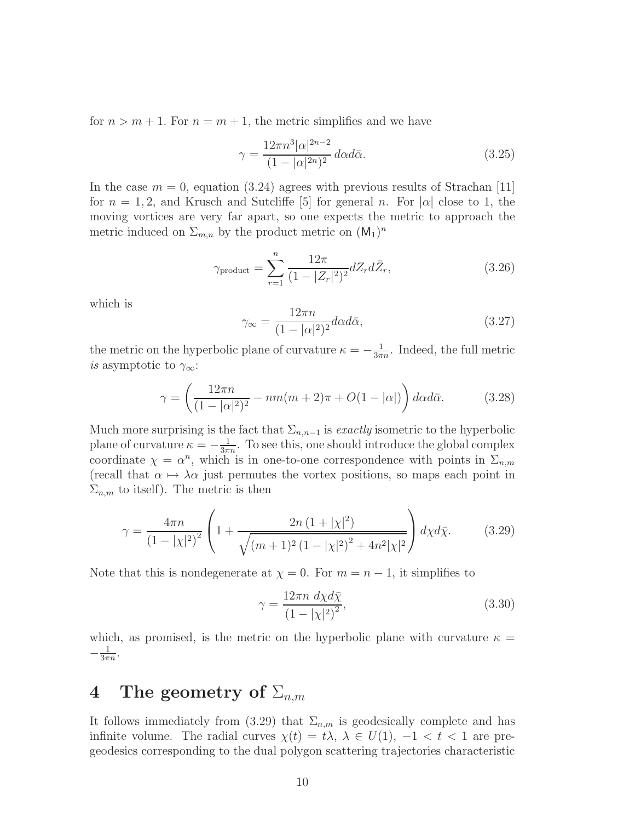for  $n > m + 1$ . For  $n = m + 1$ , the metric simplifies and we have

$$
\gamma = \frac{12\pi n^3 |\alpha|^{2n-2}}{(1 - |\alpha|^{2n})^2} d\alpha d\bar{\alpha}.
$$
 (3.25)

In the case  $m = 0$ , equation (3.24) agrees with previous results of Strachan [11] for  $n = 1, 2$ , and Krusch and Sutcliffe [5] for general n. For  $|\alpha|$  close to 1, the moving vortices are very far apart, so one expects the metric to approach the metric induced on  $\Sigma_{m,n}$  by the product metric on  $(M_1)^n$ 

$$
\gamma_{\text{product}} = \sum_{r=1}^{n} \frac{12\pi}{(1 - |Z_r|^2)^2} dZ_r d\bar{Z}_r, \tag{3.26}
$$

which is

$$
\gamma_{\infty} = \frac{12\pi n}{(1 - |\alpha|^2)^2} d\alpha d\bar{\alpha},\tag{3.27}
$$

the metric on the hyperbolic plane of curvature  $\kappa = -\frac{1}{3\pi}$  $\frac{1}{3\pi n}$ . Indeed, the full metric *is* asymptotic to  $\gamma_{\infty}$ :

$$
\gamma = \left(\frac{12\pi n}{(1 - |\alpha|^2)^2} - nm(m+2)\pi + O(1 - |\alpha|)\right) d\alpha d\bar{\alpha}.\tag{3.28}
$$

Much more surprising is the fact that  $\Sigma_{n,n-1}$  is *exactly* isometric to the hyperbolic plane of curvature  $\kappa = -\frac{1}{3\pi}$  $\frac{1}{3\pi n}$ . To see this, one should introduce the global complex coordinate  $\chi = \alpha^n$ , which is in one-to-one correspondence with points in  $\Sigma_{n,m}$ (recall that  $\alpha \mapsto \lambda \alpha$  just permutes the vortex positions, so maps each point in  $\Sigma_{n,m}$  to itself). The metric is then

$$
\gamma = \frac{4\pi n}{\left(1 - |\chi|^2\right)^2} \left(1 + \frac{2n\left(1 + |\chi|^2\right)}{\sqrt{\left(m + 1\right)^2 \left(1 - |\chi|^2\right)^2 + 4n^2|\chi|^2}}\right) d\chi d\bar{\chi}.\tag{3.29}
$$

Note that this is nondegenerate at  $\chi = 0$ . For  $m = n - 1$ , it simplifies to

$$
\gamma = \frac{12\pi n \, d\chi d\bar{\chi}}{\left(1 - |\chi|^2\right)^2},\tag{3.30}
$$

which, as promised, is the metric on the hyperbolic plane with curvature  $\kappa =$  $-\frac{1}{3\pi}$  $\frac{1}{3\pi n}$ .

## 4 The geometry of  $\Sigma_{n,m}$

It follows immediately from (3.29) that  $\Sigma_{n,m}$  is geodesically complete and has infinite volume. The radial curves  $\chi(t) = t\lambda$ ,  $\lambda \in U(1)$ ,  $-1 < t < 1$  are pregeodesics corresponding to the dual polygon scattering trajectories characteristic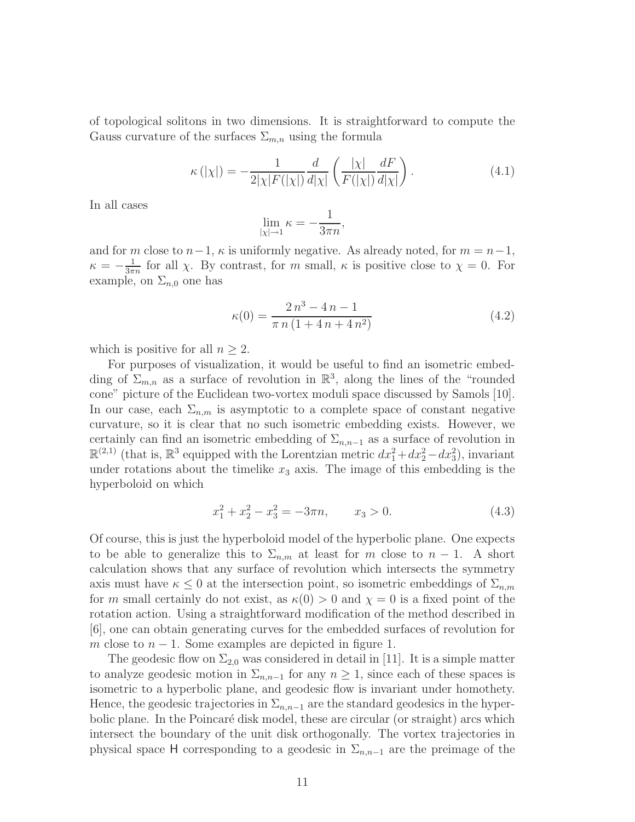of topological solitons in two dimensions. It is straightforward to compute the Gauss curvature of the surfaces  $\Sigma_{m,n}$  using the formula

$$
\kappa(|\chi|) = -\frac{1}{2|\chi|F(|\chi|)}\frac{d}{d|\chi|}\left(\frac{|\chi|}{F(|\chi|)}\frac{dF}{d|\chi|}\right). \tag{4.1}
$$

In all cases

$$
\lim_{|\chi| \to 1} \kappa = -\frac{1}{3\pi n},
$$

and for m close to  $n-1$ ,  $\kappa$  is uniformly negative. As already noted, for  $m = n-1$ ,  $\kappa = -\frac{1}{3\pi}$  $\frac{1}{3\pi n}$  for all  $\chi$ . By contrast, for m small,  $\kappa$  is positive close to  $\chi = 0$ . For example, on  $\Sigma_{n,0}$  one has

$$
\kappa(0) = \frac{2 n^3 - 4 n - 1}{\pi n (1 + 4 n + 4 n^2)}
$$
\n(4.2)

which is positive for all  $n \geq 2$ .

For purposes of visualization, it would be useful to find an isometric embedding of  $\Sigma_{m,n}$  as a surface of revolution in  $\mathbb{R}^3$ , along the lines of the "rounded" cone" picture of the Euclidean two-vortex moduli space discussed by Samols [10]. In our case, each  $\Sigma_{n,m}$  is asymptotic to a complete space of constant negative curvature, so it is clear that no such isometric embedding exists. However, we certainly can find an isometric embedding of  $\Sigma_{n,n-1}$  as a surface of revolution in  $\mathbb{R}^{(2,1)}$  (that is,  $\mathbb{R}^3$  equipped with the Lorentzian metric  $dx_1^2 + dx_2^2 - dx_3^2$ ), invariant under rotations about the timelike  $x_3$  axis. The image of this embedding is the hyperboloid on which

$$
x_1^2 + x_2^2 - x_3^2 = -3\pi n, \qquad x_3 > 0. \tag{4.3}
$$

Of course, this is just the hyperboloid model of the hyperbolic plane. One expects to be able to generalize this to  $\Sigma_{n,m}$  at least for m close to  $n-1$ . A short calculation shows that any surface of revolution which intersects the symmetry axis must have  $\kappa \leq 0$  at the intersection point, so isometric embeddings of  $\Sigma_{n,m}$ for m small certainly do not exist, as  $\kappa(0) > 0$  and  $\chi = 0$  is a fixed point of the rotation action. Using a straightforward modification of the method described in [6], one can obtain generating curves for the embedded surfaces of revolution for m close to  $n - 1$ . Some examples are depicted in figure 1.

The geodesic flow on  $\Sigma_{2,0}$  was considered in detail in [11]. It is a simple matter to analyze geodesic motion in  $\Sigma_{n,n-1}$  for any  $n \geq 1$ , since each of these spaces is isometric to a hyperbolic plane, and geodesic flow is invariant under homothety. Hence, the geodesic trajectories in  $\Sigma_{n,n-1}$  are the standard geodesics in the hyperbolic plane. In the Poincaré disk model, these are circular (or straight) arcs which intersect the boundary of the unit disk orthogonally. The vortex trajectories in physical space H corresponding to a geodesic in  $\Sigma_{n,n-1}$  are the preimage of the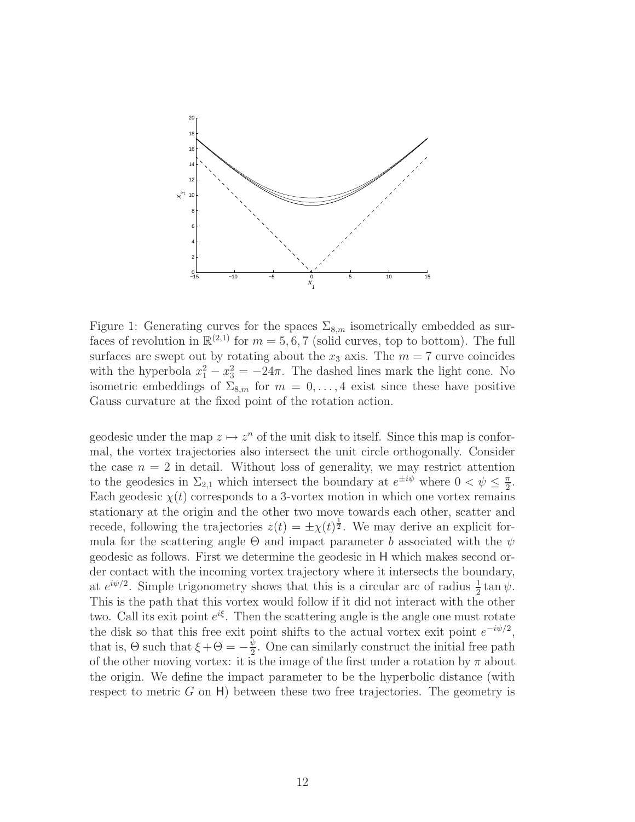

Figure 1: Generating curves for the spaces  $\Sigma_{8,m}$  isometrically embedded as surfaces of revolution in  $\mathbb{R}^{(2,1)}$  for  $m = 5, 6, 7$  (solid curves, top to bottom). The full surfaces are swept out by rotating about the  $x_3$  axis. The  $m = 7$  curve coincides with the hyperbola  $x_1^2 - x_3^2 = -24\pi$ . The dashed lines mark the light cone. No isometric embeddings of  $\Sigma_{8,m}$  for  $m = 0, \ldots, 4$  exist since these have positive Gauss curvature at the fixed point of the rotation action.

geodesic under the map  $z \mapsto z^n$  of the unit disk to itself. Since this map is conformal, the vortex trajectories also intersect the unit circle orthogonally. Consider the case  $n = 2$  in detail. Without loss of generality, we may restrict attention to the geodesics in  $\Sigma_{2,1}$  which intersect the boundary at  $e^{\pm i\psi}$  where  $0 < \psi \leq \frac{\pi}{2}$  $\frac{\pi}{2}$ . Each geodesic  $\chi(t)$  corresponds to a 3-vortex motion in which one vortex remains stationary at the origin and the other two move towards each other, scatter and recede, following the trajectories  $z(t) = \pm \chi(t)^{\frac{1}{2}}$ . We may derive an explicit formula for the scattering angle  $\Theta$  and impact parameter b associated with the  $\psi$ geodesic as follows. First we determine the geodesic in H which makes second order contact with the incoming vortex trajectory where it intersects the boundary, at  $e^{i\psi/2}$ . Simple trigonometry shows that this is a circular arc of radius  $\frac{1}{2} \tan \psi$ . This is the path that this vortex would follow if it did not interact with the other two. Call its exit point  $e^{i\xi}$ . Then the scattering angle is the angle one must rotate the disk so that this free exit point shifts to the actual vortex exit point  $e^{-i\psi/2}$ , that is,  $\Theta$  such that  $\xi + \Theta = -\frac{\psi}{2}$  $\frac{\psi}{2}$ . One can similarly construct the initial free path of the other moving vortex: it is the image of the first under a rotation by  $\pi$  about the origin. We define the impact parameter to be the hyperbolic distance (with respect to metric  $G$  on  $H$ ) between these two free trajectories. The geometry is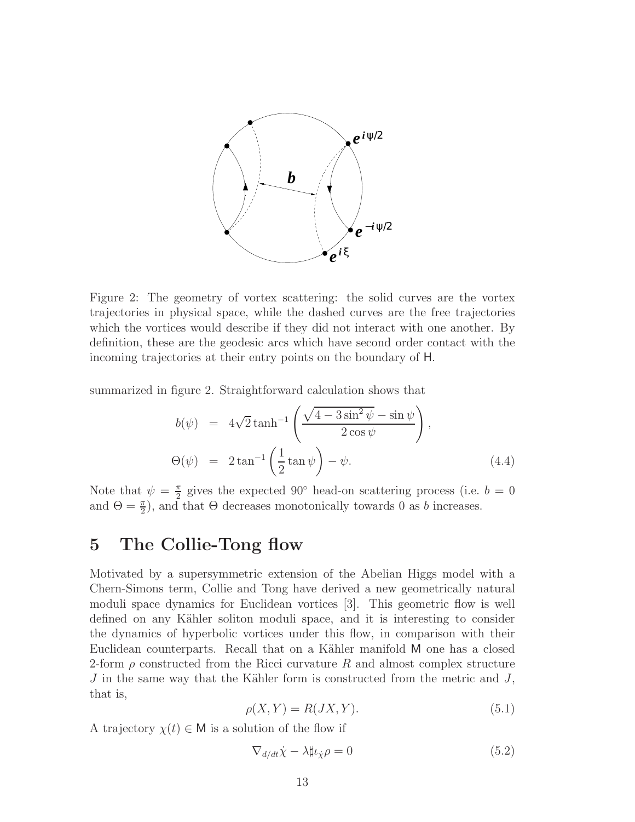

Figure 2: The geometry of vortex scattering: the solid curves are the vortex trajectories in physical space, while the dashed curves are the free trajectories which the vortices would describe if they did not interact with one another. By definition, these are the geodesic arcs which have second order contact with the incoming trajectories at their entry points on the boundary of H.

summarized in figure 2. Straightforward calculation shows that

$$
b(\psi) = 4\sqrt{2}\tanh^{-1}\left(\frac{\sqrt{4-3\sin^2\psi}-\sin\psi}{2\cos\psi}\right),
$$
  

$$
\Theta(\psi) = 2\tan^{-1}\left(\frac{1}{2}\tan\psi\right)-\psi.
$$
 (4.4)

Note that  $\psi = \frac{\pi}{2}$  $\frac{\pi}{2}$  gives the expected 90° head-on scattering process (i.e.  $b = 0$ and  $\Theta = \frac{\pi}{2}$ , and that  $\Theta$  decreases monotonically towards 0 as b increases.

### 5 The Collie-Tong flow

Motivated by a supersymmetric extension of the Abelian Higgs model with a Chern-Simons term, Collie and Tong have derived a new geometrically natural moduli space dynamics for Euclidean vortices [3]. This geometric flow is well defined on any Kähler soliton moduli space, and it is interesting to consider the dynamics of hyperbolic vortices under this flow, in comparison with their Euclidean counterparts. Recall that on a Kähler manifold M one has a closed 2-form  $\rho$  constructed from the Ricci curvature R and almost complex structure  $J$  in the same way that the Kähler form is constructed from the metric and  $J$ , that is,

$$
\rho(X, Y) = R(JX, Y). \tag{5.1}
$$

A trajectory  $\chi(t) \in M$  is a solution of the flow if

$$
\nabla_{d/dt}\dot{\chi} - \lambda \sharp \iota_{\dot{\chi}} \rho = 0 \tag{5.2}
$$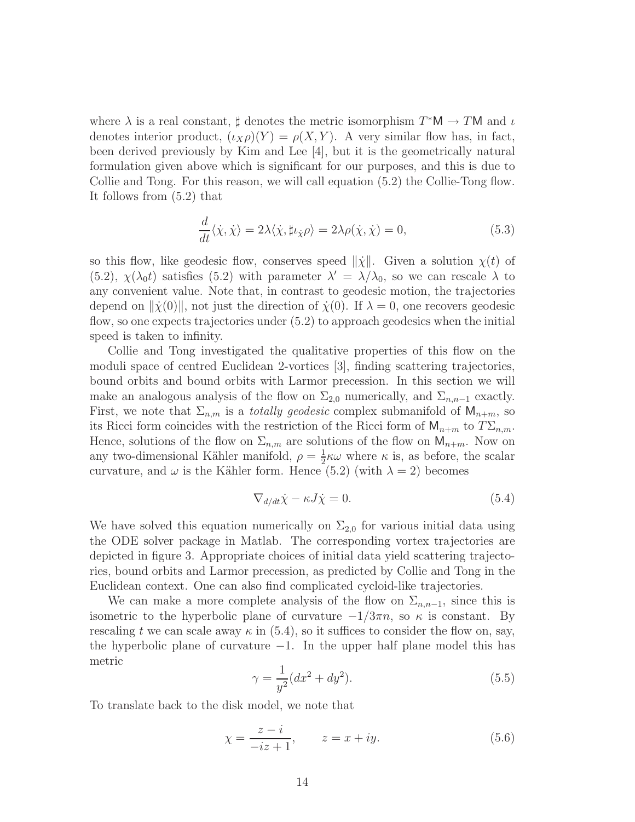where  $\lambda$  is a real constant,  $\sharp$  denotes the metric isomorphism  $T^*M \to TM$  and  $\iota$ denotes interior product,  $(\iota_X \rho)(Y) = \rho(X, Y)$ . A very similar flow has, in fact, been derived previously by Kim and Lee [4], but it is the geometrically natural formulation given above which is significant for our purposes, and this is due to Collie and Tong. For this reason, we will call equation (5.2) the Collie-Tong flow. It follows from (5.2) that

$$
\frac{d}{dt}\langle \dot{\chi}, \dot{\chi} \rangle = 2\lambda \langle \dot{\chi}, \sharp \iota_{\dot{\chi}} \rho \rangle = 2\lambda \rho(\dot{\chi}, \dot{\chi}) = 0,
$$
\n(5.3)

so this flow, like geodesic flow, conserves speed  $\|\dot{\chi}\|$ . Given a solution  $\chi(t)$  of (5.2),  $\chi(\lambda_0 t)$  satisfies (5.2) with parameter  $\lambda' = \lambda/\lambda_0$ , so we can rescale  $\lambda$  to any convenient value. Note that, in contrast to geodesic motion, the trajectories depend on  $\|\dot{\chi}(0)\|$ , not just the direction of  $\dot{\chi}(0)$ . If  $\lambda = 0$ , one recovers geodesic flow, so one expects trajectories under (5.2) to approach geodesics when the initial speed is taken to infinity.

Collie and Tong investigated the qualitative properties of this flow on the moduli space of centred Euclidean 2-vortices [3], finding scattering trajectories, bound orbits and bound orbits with Larmor precession. In this section we will make an analogous analysis of the flow on  $\Sigma_{2,0}$  numerically, and  $\Sigma_{n,n-1}$  exactly. First, we note that  $\Sigma_{n,m}$  is a *totally geodesic* complex submanifold of  $\mathsf{M}_{n+m}$ , so its Ricci form coincides with the restriction of the Ricci form of  $\mathsf{M}_{n+m}$  to  $T\Sigma_{n,m}$ . Hence, solutions of the flow on  $\Sigma_{n,m}$  are solutions of the flow on  $\mathsf{M}_{n+m}$ . Now on any two-dimensional Kähler manifold,  $\rho = \frac{1}{2}$  $\frac{1}{2}\kappa\omega$  where  $\kappa$  is, as before, the scalar curvature, and  $\omega$  is the Kähler form. Hence (5.2) (with  $\lambda = 2$ ) becomes

$$
\nabla_{d/dt}\dot{\chi} - \kappa J \dot{\chi} = 0. \tag{5.4}
$$

We have solved this equation numerically on  $\Sigma_{2,0}$  for various initial data using the ODE solver package in Matlab. The corresponding vortex trajectories are depicted in figure 3. Appropriate choices of initial data yield scattering trajectories, bound orbits and Larmor precession, as predicted by Collie and Tong in the Euclidean context. One can also find complicated cycloid-like trajectories.

We can make a more complete analysis of the flow on  $\Sigma_{n,n-1}$ , since this is isometric to the hyperbolic plane of curvature  $-1/3\pi n$ , so  $\kappa$  is constant. By rescaling t we can scale away  $\kappa$  in (5.4), so it suffices to consider the flow on, say, the hyperbolic plane of curvature  $-1$ . In the upper half plane model this has metric

$$
\gamma = \frac{1}{y^2} (dx^2 + dy^2).
$$
\n(5.5)

To translate back to the disk model, we note that

$$
\chi = \frac{z - i}{-iz + 1}, \qquad z = x + iy. \tag{5.6}
$$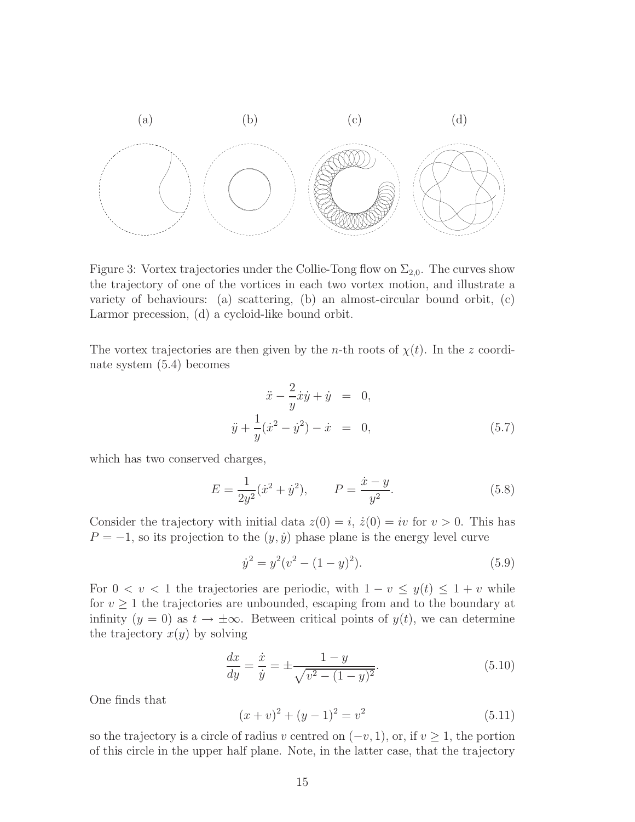

Figure 3: Vortex trajectories under the Collie-Tong flow on  $\Sigma_{2,0}$ . The curves show the trajectory of one of the vortices in each two vortex motion, and illustrate a variety of behaviours: (a) scattering, (b) an almost-circular bound orbit, (c) Larmor precession, (d) a cycloid-like bound orbit.

The vortex trajectories are then given by the *n*-th roots of  $\chi(t)$ . In the z coordinate system (5.4) becomes

$$
\ddot{x} - \frac{2}{y}\dot{x}\dot{y} + \dot{y} = 0, \n\ddot{y} + \frac{1}{y}(\dot{x}^2 - \dot{y}^2) - \dot{x} = 0,
$$
\n(5.7)

which has two conserved charges,

$$
E = \frac{1}{2y^2} (\dot{x}^2 + \dot{y}^2), \qquad P = \frac{\dot{x} - y}{y^2}.
$$
 (5.8)

Consider the trajectory with initial data  $z(0) = i$ ,  $\dot{z}(0) = iv$  for  $v > 0$ . This has  $P = -1$ , so its projection to the  $(y, \dot{y})$  phase plane is the energy level curve

$$
\dot{y}^2 = y^2(v^2 - (1 - y)^2). \tag{5.9}
$$

For  $0 < v < 1$  the trajectories are periodic, with  $1 - v \leq y(t) \leq 1 + v$  while for  $v \geq 1$  the trajectories are unbounded, escaping from and to the boundary at infinity  $(y = 0)$  as  $t \to \pm \infty$ . Between critical points of  $y(t)$ , we can determine the trajectory  $x(y)$  by solving

$$
\frac{dx}{dy} = \frac{\dot{x}}{\dot{y}} = \pm \frac{1 - y}{\sqrt{v^2 - (1 - y)^2}}.
$$
\n(5.10)

One finds that

$$
(x+v)^2 + (y-1)^2 = v^2 \tag{5.11}
$$

so the trajectory is a circle of radius v centred on  $(-v, 1)$ , or, if  $v \ge 1$ , the portion of this circle in the upper half plane. Note, in the latter case, that the trajectory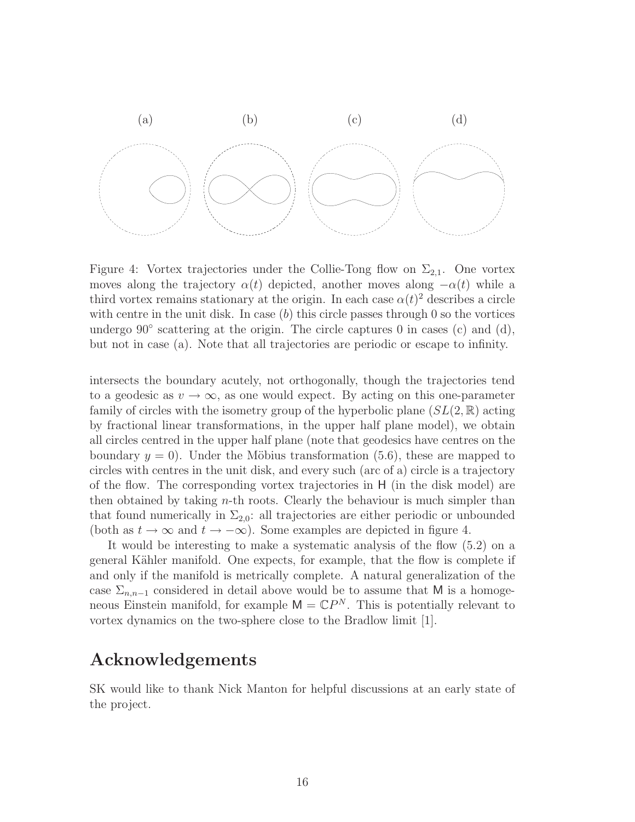

Figure 4: Vortex trajectories under the Collie-Tong flow on  $\Sigma_{2,1}$ . One vortex moves along the trajectory  $\alpha(t)$  depicted, another moves along  $-\alpha(t)$  while a third vortex remains stationary at the origin. In each case  $\alpha(t)^2$  describes a circle with centre in the unit disk. In case  $(b)$  this circle passes through 0 so the vortices undergo 90° scattering at the origin. The circle captures 0 in cases (c) and (d), but not in case (a). Note that all trajectories are periodic or escape to infinity.

intersects the boundary acutely, not orthogonally, though the trajectories tend to a geodesic as  $v \to \infty$ , as one would expect. By acting on this one-parameter family of circles with the isometry group of the hyperbolic plane  $(SL(2,\mathbb{R})$  acting by fractional linear transformations, in the upper half plane model), we obtain all circles centred in the upper half plane (note that geodesics have centres on the boundary  $y = 0$ . Under the Möbius transformation (5.6), these are mapped to circles with centres in the unit disk, and every such (arc of a) circle is a trajectory of the flow. The corresponding vortex trajectories in H (in the disk model) are then obtained by taking n-th roots. Clearly the behaviour is much simpler than that found numerically in  $\Sigma_{2,0}$ : all trajectories are either periodic or unbounded (both as  $t \to \infty$  and  $t \to -\infty$ ). Some examples are depicted in figure 4.

It would be interesting to make a systematic analysis of the flow (5.2) on a general Kähler manifold. One expects, for example, that the flow is complete if and only if the manifold is metrically complete. A natural generalization of the case  $\Sigma_{n,n-1}$  considered in detail above would be to assume that M is a homogeneous Einstein manifold, for example  $\mathsf{M} = \mathbb{C}P^N$ . This is potentially relevant to vortex dynamics on the two-sphere close to the Bradlow limit [1].

### Acknowledgements

SK would like to thank Nick Manton for helpful discussions at an early state of the project.